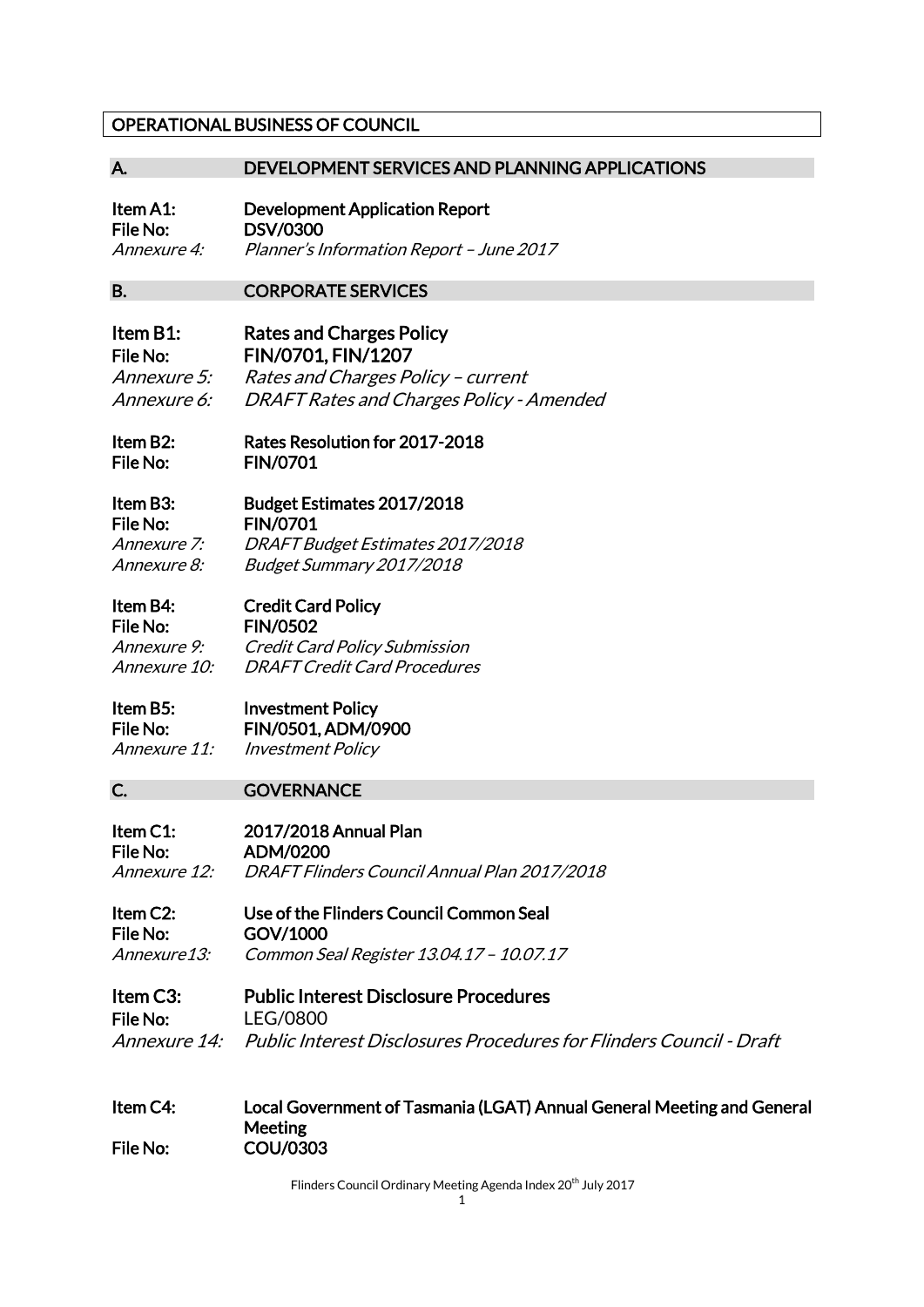### OPERATIONAL BUSINESS OF COUNCIL

### A. DEVELOPMENT SERVICES AND PLANNING APPLICATIONS

Item A1: Development Application Report File No: DSV/0300 Annexure 4: Planner's Information Report – June 2017

B. CORPORATE SERVICES

Item B1: Rates and Charges Policy File No: FIN/0701, FIN/1207 Annexure 5: Rates and Charges Policy – current Annexure 6: DRAFT Rates and Charges Policy - Amended

Item B2: Rates Resolution for 2017-2018 File No: FIN/0701

Item B3: Budget Estimates 2017/2018 File No: FIN/0701 Annexure 7: DRAFT Budget Estimates 2017/2018 Annexure 8: Budget Summary 2017/2018

### Item B4: Credit Card Policy

File No: FIN/0502 Annexure 9: Credit Card Policy Submission Annexure 10: DRAFT Credit Card Procedures

## Item B5: Investment Policy File No: FIN/0501, ADM/0900

Annexure 11: Investment Policy

### C. **GOVERNANCE**

Item C1: 2017/2018 Annual Plan File No: ADM/0200 Annexure 12: DRAFT Flinders Council Annual Plan 2017/2018

Item C2: Use of the Flinders Council Common Seal File No: GOV/1000 Annexure13: Common Seal Register 13.04.17 – 10.07.17

### Item C3: Public Interest Disclosure Procedures File No: LEG/0800 Annexure 14: Public Interest Disclosures Procedures for Flinders Council - Draft

#### Item C4: Local Government of Tasmania (LGAT) Annual General Meeting and General Meeting File No: COU/0303

Flinders Council Ordinary Meeting Agenda Index 20<sup>th</sup> July 2017